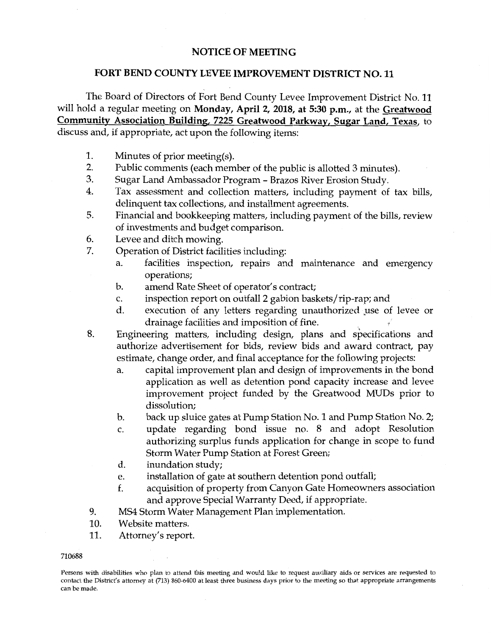## **NOTICE OF MEETING**

## **FORT BEND COUNTY LEVEE IMPROVEMENT DISTRICT NO. 11**

The Board of Directors of Fort Bend County Levee Improvement District No. 11 will hold a regular meeting on **Monday, April 2, 2018, at 5:30 p.m.,** at the **Greatwood Community Association Building, 7225 Greatwood Parkway, Sugar Land, Texas,** to discuss and, if appropriate, act upon the following items:

- 1. Minutes of prior meeting(s).
- 2. Public comments (each member of the public is allotted 3 minutes).
- 3. Sugar Land Ambassador Program Brazos River Erosion Study.
- 4. Tax assessment and collection matters, including payment of tax bills, delinquent tax collections, and installment agreements.
- 5. Financial and bookkeeping matters, including payment of the bills, review of investments and budget comparison.
- 6. Levee and ditch mowing.
- 7. Operation of District facilities including:
	- a. facilities inspection, repairs and maintenance and emergency operations;
	- b. amend Rate Sheet of operator's contract;
	- c. inspection report on outfall 2 gabion baskets/rip-rap; and
	- d. execution of any letters regarding unauthorized use of levee or drainage facilities and imposition of fine.
- 8. Engineering matters, including design, plans and specifications and authorize advertisement for bids, review bids and award contract, pay estimate, change order, and final acceptance for the following projects:
	- a. capital improvement plan and design of improvements in the bond application as well as detention pond capacity increase and levee improvement project funded by the Greatwood MUDs prior to dissolution;
	- b. back up sluice gates at Pump Station No. 1 and Pump Station No. 2;
	- c. update regarding bond issue no. 8 and adopt Resolution authorizing surplus funds application for change in scope to fund Storm Water Pump Station at Forest Green;
	- d. inundation study;
	- e. installation of gate at southern detention pond outfall;
	- f. acquisition of property from Canyon Gate Homeowners association and approve Special Warranty Deed, if appropriate.
- 9. MS4 Storm Water Management Plan implementation.
- 10. Website matters.
- 11. Attorney's report.
- 710688

Persons with disabilities who plan to attend this meeting and would like to request auxiliary aids or services are requested to contact the District's attorney at (713) 860-6400 at least three business days prior to the meeting so that appropriate arrangements can be made.